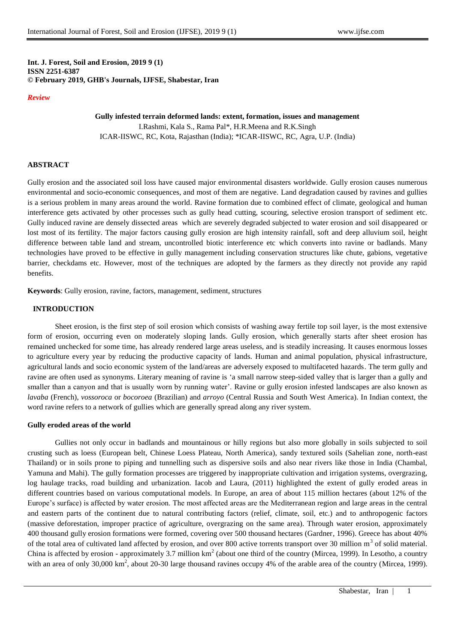## **Int. J. Forest, Soil and Erosion, 2019 9 (1) ISSN 2251-6387 © February 2019, GHB's Journals, IJFSE, Shabestar, Iran**

#### *Review*

# **Gully infested terrain deformed lands: extent, formation, issues and management** I.Rashmi, Kala S., Rama Pal\*, H.R.Meena and R.K.Singh ICAR-IISWC, RC, Kota, Rajasthan (India); \*ICAR-IISWC, RC, Agra, U.P. (India)

#### **ABSTRACT**

Gully erosion and the associated soil loss have caused major environmental disasters worldwide. Gully erosion causes numerous environmental and socio-economic consequences, and most of them are negative. Land degradation caused by ravines and gullies is a serious problem in many areas around the world. Ravine formation due to combined effect of climate, geological and human interference gets activated by other processes such as gully head cutting, scouring, selective erosion transport of sediment etc. Gully induced ravine are densely dissected areas which are severely degraded subjected to water erosion and soil disappeared or lost most of its fertility. The major factors causing gully erosion are high intensity rainfall, soft and deep alluvium soil, height difference between table land and stream, uncontrolled biotic interference etc which converts into ravine or badlands. Many technologies have proved to be effective in gully management including conservation structures like chute, gabions, vegetative barrier, checkdams etc. However, most of the techniques are adopted by the farmers as they directly not provide any rapid benefits.

**Keywords**: Gully erosion, ravine, factors, management, sediment, structures

#### **INTRODUCTION**

Sheet erosion, is the first step of soil erosion which consists of washing away fertile top soil layer, is the most extensive form of erosion, occurring even on moderately sloping lands. Gully erosion, which generally starts after sheet erosion has remained unchecked for some time, has already rendered large areas useless, and is steadily increasing. It causes enormous losses to agriculture every year by reducing the productive capacity of lands. Human and animal population, physical infrastructure, agricultural lands and socio economic system of the land/areas are adversely exposed to multifaceted hazards. The term gully and ravine are often used as synonyms. Literary meaning of ravine is 'a small narrow steep-sided valley that is larger than a gully and smaller than a canyon and that is usually worn by running water'. Ravine or gully erosion infested landscapes are also known as *lavaba* (French), *vossoroca* or *bocoroea* (Brazilian) and *arroyo* (Central Russia and South West America). In Indian context, the word ravine refers to a network of gullies which are generally spread along any river system.

#### **Gully eroded areas of the world**

Gullies not only occur in badlands and mountainous or hilly regions but also more globally in soils subjected to soil crusting such as loess (European belt, Chinese Loess Plateau, North America), sandy textured soils (Sahelian zone, north-east Thailand) or in soils prone to piping and tunnelling such as dispersive soils and also near rivers like those in India (Chambal, Yamuna and Mahi). The gully formation processes are triggered by inappropriate cultivation and irrigation systems, overgrazing, log haulage tracks, road building and urbanization. Iacob and Laura, (2011) highlighted the extent of gully eroded areas in different countries based on various computational models. In Europe, an area of about 115 million hectares (about 12% of the Europe's surface) is affected by water erosion. The most affected areas are the Mediterranean region and large areas in the central and eastern parts of the continent due to natural contributing factors (relief, climate, soil, etc.) and to anthropogenic factors (massive deforestation, improper practice of agriculture, overgrazing on the same area). Through water erosion, approximately 400 thousand gully erosion formations were formed, covering over 500 thousand hectares (Gardner, 1996). Greece has about 40% of the total area of cultivated land affected by erosion, and over 800 active torrents transport over 30 million  $m<sup>3</sup>$  of solid material. China is affected by erosion - approximately 3.7 million  $km^2$  (about one third of the country (Mircea, 1999). In Lesotho, a country with an area of only  $30,000 \text{ km}^2$ , about 20-30 large thousand ravines occupy 4% of the arable area of the country (Mircea, 1999).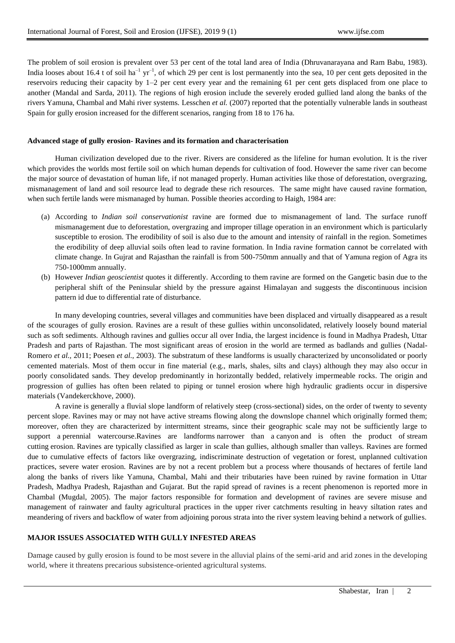The problem of soil erosion is prevalent over 53 per cent of the total land area of India (Dhruvanarayana and Ram Babu, 1983). India looses about 16.4 t of soil ha<sup>-1</sup> yr<sup>-1</sup>, of which 29 per cent is lost permanently into the sea, 10 per cent gets deposited in the reservoirs reducing their capacity by 1–2 per cent every year and the remaining 61 per cent gets displaced from one place to another (Mandal and Sarda, 2011). The regions of high erosion include the severely eroded gullied land along the banks of the rivers Yamuna, Chambal and Mahi river systems. Lesschen *et al.* (2007) reported that the potentially vulnerable lands in southeast Spain for gully erosion increased for the different scenarios, ranging from 18 to 176 ha.

#### **Advanced stage of gully erosion- Ravines and its formation and characterisation**

Human civilization developed due to the river. Rivers are considered as the lifeline for human evolution. It is the river which provides the worlds most fertile soil on which human depends for cultivation of food. However the same river can become the major source of devastation of human life, if not managed properly. Human activities like those of deforestation, overgrazing, mismanagement of land and soil resource lead to degrade these rich resources. The same might have caused ravine formation, when such fertile lands were mismanaged by human. Possible theories according to Haigh, 1984 are:

- (a) According to *Indian soil conservationist* ravine are formed due to mismanagement of land. The surface runoff mismanagement due to deforestation, overgrazing and improper tillage operation in an environment which is particularly susceptible to erosion. The erodibility of soil is also due to the amount and intensity of rainfall in the region. Sometimes the erodibility of deep alluvial soils often lead to ravine formation. In India ravine formation cannot be correlated with climate change. In Gujrat and Rajasthan the rainfall is from 500-750mm annually and that of Yamuna region of Agra its 750-1000mm annually.
- (b) However *Indian geoscientist* quotes it differently. According to them ravine are formed on the Gangetic basin due to the peripheral shift of the Peninsular shield by the pressure against Himalayan and suggests the discontinuous incision pattern id due to differential rate of disturbance.

In many developing countries, several villages and communities have been displaced and virtually disappeared as a result of the scourages of gully erosion. Ravines are a result of these gullies within unconsolidated, relatively loosely bound material such as soft sediments. Although ravines and gullies occur all over India, the largest incidence is found in Madhya Pradesh, Uttar Pradesh and parts of Rajasthan. The most significant areas of erosion in the world are termed as badlands and gullies (Nadal-Romero *et al.,* 2011; Poesen *et al.,* 2003). The substratum of these landforms is usually characterized by unconsolidated or poorly cemented materials. Most of them occur in fine material (e.g., marls, shales, silts and clays) although they may also occur in poorly consolidated sands. They develop predominantly in horizontally bedded, relatively impermeable rocks. The origin and progression of gullies has often been related to piping or tunnel erosion where high hydraulic gradients occur in dispersive materials (Vandekerckhove, 2000).

A ravine is generally a [fluvial](https://en.wikipedia.org/wiki/Fluvial) slope landform of relatively steep (cross-sectional) sides, on the order of twenty to seventy percent slope. Ravines may or may not have active streams flowing along the downslope channel which originally formed them; moreover, often they are characterized by intermittent streams, since their geographic scale may not be sufficiently large to support a [perennial](https://en.wikipedia.org/wiki/Perennial_stream) [watercourse.](https://en.wikipedia.org/wiki/Watercourse)Ravines are [landforms](https://en.wikipedia.org/wiki/Landform) narrower than a [canyon](https://en.wikipedia.org/wiki/Canyon) and is often the product of [stream](https://en.wikipedia.org/wiki/Stream) [cutting](https://en.wikipedia.org/wiki/Stream) [erosion.](https://en.wikipedia.org/wiki/Erosion) Ravines are typically classified as larger in scale than [gullies,](https://en.wikipedia.org/wiki/Gully) although smaller than [valleys.](https://en.wikipedia.org/wiki/Valley) Ravines are formed due to cumulative effects of factors like overgrazing, indiscriminate destruction of vegetation or forest, unplanned cultivation practices, severe water erosion. Ravines are by not a recent problem but a process where thousands of hectares of fertile land along the banks of rivers like Yamuna, Chambal, Mahi and their tributaries have been ruined by ravine formation in Uttar Pradesh, Madhya Pradesh, Rajasthan and Gujarat. But the rapid spread of ravines is a recent phenomenon is reported more in Chambal (Mugdal, 2005). The major factors responsible for formation and development of ravines are severe misuse and management of rainwater and faulty agricultural practices in the upper river catchments resulting in heavy siltation rates and meandering of rivers and backflow of water from adjoining porous strata into the river system leaving behind a network of gullies.

#### **MAJOR ISSUES ASSOCIATED WITH GULLY INFESTED AREAS**

Damage caused by gully erosion is found to be most severe in the alluvial plains of the semi-arid and arid zones in the developing world, where it threatens precarious subsistence-oriented agricultural systems.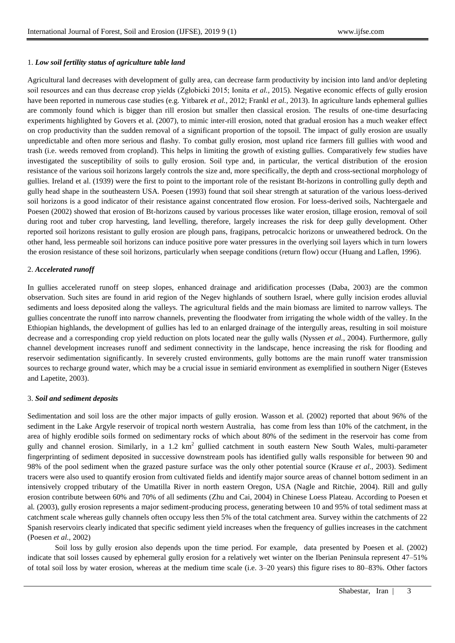#### 1. *Low soil fertility status of agriculture table land*

Agricultural land decreases with development of gully area, can decrease farm productivity by incision into land and/or depleting soil resources and can thus decrease crop yields (Zgłobicki 2015; Ionita *et al.,* 2015). Negative economic effects of gully erosion have been reported in numerous case studies (e.g. Yitbarek *et al.,* 2012; Frankl *et al.,* 2013). In agriculture lands ephemeral gullies are commonly found which is bigger than rill erosion but smaller then classical erosion. The results of one-time desurfacing experiments highlighted by Govers et al. (2007), to mimic inter-rill erosion, noted that gradual erosion has a much weaker effect on crop productivity than the sudden removal of a significant proportion of the topsoil. The impact of gully erosion are usually unpredictable and often more serious and flashy. To combat gully erosion, most upland rice farmers fill gullies with wood and trash (i.e. weeds removed from cropland). This helps in limiting the growth of existing gullies. Comparatively few studies have investigated the susceptibility of soils to gully erosion. Soil type and, in particular, the vertical distribution of the erosion resistance of the various soil horizons largely controls the size and, more specifically, the depth and cross-sectional morphology of gullies. Ireland et al. (1939) were the first to point to the important role of the resistant Bt-horizons in controlling gully depth and gully head shape in the southeastern USA. Poesen (1993) found that soil shear strength at saturation of the various loess-derived soil horizons is a good indicator of their resistance against concentrated flow erosion. For loess-derived soils, Nachtergaele and Poesen (2002) showed that erosion of Bt-horizons caused by various processes like water erosion, tillage erosion, removal of soil during root and tuber crop harvesting, land levelling, therefore, largely increases the risk for deep gully development. Other reported soil horizons resistant to gully erosion are plough pans, fragipans, petrocalcic horizons or unweathered bedrock. On the other hand, less permeable soil horizons can induce positive pore water pressures in the overlying soil layers which in turn lowers the erosion resistance of these soil horizons, particularly when seepage conditions (return flow) occur (Huang and Laflen, 1996).

#### 2. *Accelerated runoff*

In gullies accelerated runoff on steep slopes, enhanced drainage and aridification processes (Daba, 2003) are the common observation. Such sites are found in arid region of the Negev highlands of southern Israel, where gully incision erodes alluvial sediments and loess deposited along the valleys. The agricultural fields and the main biomass are limited to narrow valleys. The gullies concentrate the runoff into narrow channels, preventing the floodwater from irrigating the whole width of the valley. In the Ethiopian highlands, the development of gullies has led to an enlarged drainage of the intergully areas, resulting in soil moisture decrease and a corresponding crop yield reduction on plots located near the gully walls (Nyssen *et al.,* 2004). Furthermore, gully channel development increases runoff and sediment connectivity in the landscape, hence increasing the risk for flooding and reservoir sedimentation significantly. In severely crusted environments, gully bottoms are the main runoff water transmission sources to recharge ground water, which may be a crucial issue in semiarid environment as exemplified in southern Niger (Esteves and Lapetite, 2003).

#### 3. *Soil and sediment deposits*

Sedimentation and soil loss are the other major impacts of gully erosion. Wasson et al. (2002) reported that about 96% of the sediment in the Lake Argyle reservoir of tropical north western Australia, has come from less than 10% of the catchment, in the area of highly erodible soils formed on sedimentary rocks of which about 80% of the sediment in the reservoir has come from gully and channel erosion. Similarly, in a 1.2  $km^2$  gullied catchment in south eastern New South Wales, multi-parameter fingerprinting of sediment deposited in successive downstream pools has identified gully walls responsible for between 90 and 98% of the pool sediment when the grazed pasture surface was the only other potential source (Krause *et al.,* 2003). Sediment tracers were also used to quantify erosion from cultivated fields and identify major source areas of channel bottom sediment in an intensively cropped tributary of the Umatilla River in north eastern Oregon, USA (Nagle and Ritchie, 2004). Rill and gully erosion contribute between 60% and 70% of all sediments (Zhu and Cai, 2004) in Chinese Loess Plateau. According to Poesen et al*.* (2003), gully erosion represents a major sediment-producing process, generating between 10 and 95% of total sediment mass at catchment scale whereas gully channels often occupy less then 5% of the total catchment area. Survey within the catchments of 22 Spanish reservoirs clearly indicated that specific sediment yield increases when the frequency of gullies increases in the catchment (Poesen *et al.,* 2002)

Soil loss by gully erosion also depends upon the time period. For example, data presented by Poesen et al. (2002) indicate that soil losses caused by ephemeral gully erosion for a relatively wet winter on the Iberian Peninsula represent 47–51% of total soil loss by water erosion, whereas at the medium time scale (i.e. 3–20 years) this figure rises to 80–83%. Other factors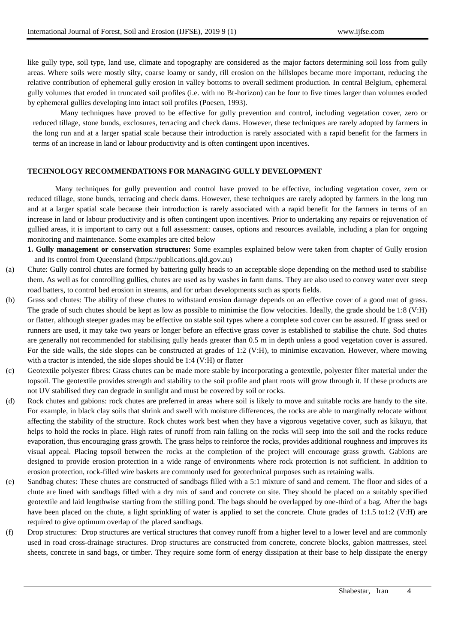like gully type, soil type, land use, climate and topography are considered as the major factors determining soil loss from gully areas. Where soils were mostly silty, coarse loamy or sandy, rill erosion on the hillslopes became more important, reducing the relative contribution of ephemeral gully erosion in valley bottoms to overall sediment production. In central Belgium, ephemeral gully volumes that eroded in truncated soil profiles (i.e. with no Bt-horizon) can be four to five times larger than volumes eroded by ephemeral gullies developing into intact soil profiles (Poesen, 1993).

Many techniques have proved to be effective for gully prevention and control, including vegetation cover, zero or reduced tillage, stone bunds, exclosures, terracing and check dams. However, these techniques are rarely adopted by farmers in the long run and at a larger spatial scale because their introduction is rarely associated with a rapid benefit for the farmers in terms of an increase in land or labour productivity and is often contingent upon incentives.

#### **TECHNOLOGY RECOMMENDATIONS FOR MANAGING GULLY DEVELOPMENT**

Many techniques for gully prevention and control have proved to be effective, including vegetation cover, zero or reduced tillage, stone bunds, terracing and check dams. However, these techniques are rarely adopted by farmers in the long run and at a larger spatial scale because their introduction is rarely associated with a rapid benefit for the farmers in terms of an increase in land or labour productivity and is often contingent upon incentives. Prior to undertaking any repairs or rejuvenation of gullied areas, it is important to carry out a full assessment: causes, options and resources available, including a plan for ongoing monitoring and maintenance. Some examples are cited below

**1. Gully management or conservation structures:** Some examples explained below were taken from chapter of Gully erosion and its control from Queensland (https://publications.qld.gov.au)

- (a) Chute: Gully control chutes are formed by battering gully heads to an acceptable slope depending on the method used to stabilise them. As well as for controlling gullies, chutes are used as by washes in farm dams. They are also used to convey water over steep road batters, to control bed erosion in streams, and for urban developments such as sports fields.
- (b) Grass sod chutes: The ability of these chutes to withstand erosion damage depends on an effective cover of a good mat of grass. The grade of such chutes should be kept as low as possible to minimise the flow velocities. Ideally, the grade should be 1:8 (V:H) or flatter, although steeper grades may be effective on stable soil types where a complete sod cover can be assured. If grass seed or runners are used, it may take two years or longer before an effective grass cover is established to stabilise the chute. Sod chutes are generally not recommended for stabilising gully heads greater than 0.5 m in depth unless a good vegetation cover is assured. For the side walls, the side slopes can be constructed at grades of 1:2 (V:H), to minimise excavation. However, where mowing with a tractor is intended, the side slopes should be 1:4 (V:H) or flatter
- (c) Geotextile polyester fibres: Grass chutes can be made more stable by incorporating a geotextile, polyester filter material under the topsoil. The geotextile provides strength and stability to the soil profile and plant roots will grow through it. If these products are not UV stabilised they can degrade in sunlight and must be covered by soil or rocks.
- (d) Rock chutes and gabions: rock chutes are preferred in areas where soil is likely to move and suitable rocks are handy to the site. For example, in black clay soils that shrink and swell with moisture differences, the rocks are able to marginally relocate without affecting the stability of the structure. Rock chutes work best when they have a vigorous vegetative cover, such as kikuyu, that helps to hold the rocks in place. High rates of runoff from rain falling on the rocks will seep into the soil and the rocks reduce evaporation, thus encouraging grass growth. The grass helps to reinforce the rocks, provides additional roughness and improves its visual appeal. Placing topsoil between the rocks at the completion of the project will encourage grass growth. Gabions are designed to provide erosion protection in a wide range of environments where rock protection is not sufficient. In addition to erosion protection, rock-filled wire baskets are commonly used for geotechnical purposes such as retaining walls.
- (e) Sandbag chutes: These chutes are constructed of sandbags filled with a 5:1 mixture of sand and cement. The floor and sides of a chute are lined with sandbags filled with a dry mix of sand and concrete on site. They should be placed on a suitably specified geotextile and laid lengthwise starting from the stilling pond. The bags should be overlapped by one-third of a bag. After the bags have been placed on the chute, a light sprinkling of water is applied to set the concrete. Chute grades of 1:1.5 to1:2 (V:H) are required to give optimum overlap of the placed sandbags.
- (f) Drop structures: Drop structures are vertical structures that convey runoff from a higher level to a lower level and are commonly used in road cross-drainage structures. Drop structures are constructed from concrete, concrete blocks, gabion mattresses, steel sheets, concrete in sand bags, or timber. They require some form of energy dissipation at their base to help dissipate the energy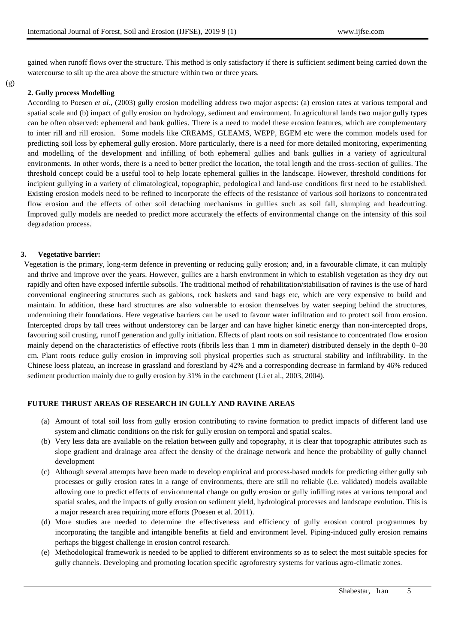gained when runoff flows over the structure. This method is only satisfactory if there is sufficient sediment being carried down the watercourse to silt up the area above the structure within two or three years.

(g)

## **2. Gully process Modelling**

According to Poesen *et al.,* (2003) gully erosion modelling address two major aspects: (a) erosion rates at various temporal and spatial scale and (b) impact of gully erosion on hydrology, sediment and environment. In agricultural lands two major gully types can be often observed: ephemeral and bank gullies. There is a need to model these erosion features, which are complementary to inter rill and rill erosion. Some models like CREAMS, GLEAMS, WEPP, EGEM etc were the common models used for predicting soil loss by ephemeral gully erosion. More particularly, there is a need for more detailed monitoring, experimenting and modelling of the development and infilling of both ephemeral gullies and bank gullies in a variety of agricultural environments. In other words, there is a need to better predict the location, the total length and the cross-section of gullies. The threshold concept could be a useful tool to help locate ephemeral gullies in the landscape. However, threshold conditions for incipient gullying in a variety of climatological, topographic, pedological and land-use conditions first need to be established. Existing erosion models need to be refined to incorporate the effects of the resistance of various soil horizons to concentra ted flow erosion and the effects of other soil detaching mechanisms in gullies such as soil fall, slumping and headcutting. Improved gully models are needed to predict more accurately the effects of environmental change on the intensity of this soil degradation process.

## **3. Vegetative barrier:**

Vegetation is the primary, long-term defence in preventing or reducing gully erosion; and, in a favourable climate, it can multiply and thrive and improve over the years. However, gullies are a harsh environment in which to establish vegetation as they dry out rapidly and often have exposed infertile subsoils. The traditional method of rehabilitation/stabilisation of ravines is the use of hard conventional engineering structures such as gabions, rock baskets and sand bags etc, which are very expensive to build and maintain. In addition, these hard structures are also vulnerable to erosion themselves by water seeping behind the structures, undermining their foundations. Here vegetative barriers can be used to favour water infiltration and to protect soil from erosion. Intercepted drops by tall trees without understorey can be larger and can have higher kinetic energy than non-intercepted drops, favouring soil crusting, runoff generation and gully initiation. Effects of plant roots on soil resistance to concentrated flow erosion mainly depend on the characteristics of effective roots (fibrils less than 1 mm in diameter) distributed densely in the depth 0–30 cm. Plant roots reduce gully erosion in improving soil physical properties such as structural stability and infiltrability. In the Chinese loess plateau, an increase in grassland and forestland by 42% and a corresponding decrease in farmland by 46% reduced sediment production mainly due to gully erosion by 31% in the catchment (Li et al., 2003, 2004).

# **FUTURE THRUST AREAS OF RESEARCH IN GULLY AND RAVINE AREAS**

- (a) Amount of total soil loss from gully erosion contributing to ravine formation to predict impacts of different land use system and climatic conditions on the risk for gully erosion on temporal and spatial scales.
- (b) Very less data are available on the relation between gully and topography, it is clear that topographic attributes such as slope gradient and drainage area affect the density of the drainage network and hence the probability of gully channel development
- (c) Although several attempts have been made to develop empirical and process-based models for predicting either gully sub processes or gully erosion rates in a range of environments, there are still no reliable (i.e. validated) models available allowing one to predict effects of environmental change on gully erosion or gully infilling rates at various temporal and spatial scales, and the impacts of gully erosion on sediment yield, hydrological processes and landscape evolution. This is a major research area requiring more efforts (Poesen et al. 2011).
- (d) More studies are needed to determine the effectiveness and efficiency of gully erosion control programmes by incorporating the tangible and intangible benefits at field and environment level. Piping-induced gully erosion remains perhaps the biggest challenge in erosion control research.
- (e) Methodological framework is needed to be applied to different environments so as to select the most suitable species for gully channels. Developing and promoting location specific agroforestry systems for various agro-climatic zones.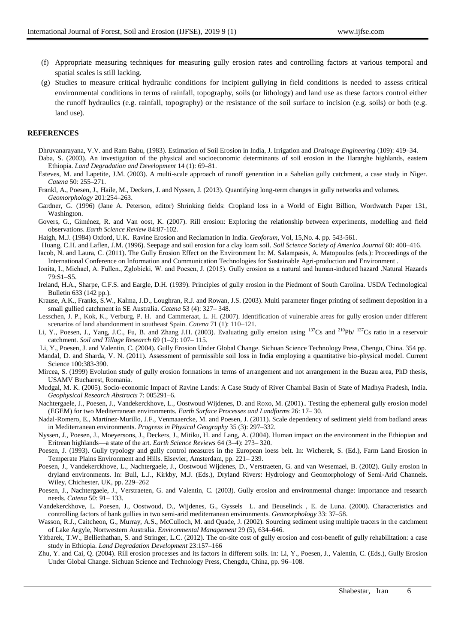- (f) Appropriate measuring techniques for measuring gully erosion rates and controlling factors at various temporal and spatial scales is still lacking.
- (g) Studies to measure critical hydraulic conditions for incipient gullying in field conditions is needed to assess critical environmental conditions in terms of rainfall, topography, soils (or lithology) and land use as these factors control either the runoff hydraulics (e.g. rainfall, topography) or the resistance of the soil surface to incision (e.g. soils) or both (e.g. land use).

#### **REFERENCES**

- Dhruvanarayana, V.V. and Ram Babu, (1983). Estimation of Soil Erosion in India, J. Irrigation and *Drainage Engineering* (109): 419–34. Daba, S. (2003). An investigation of the physical and socioeconomic determinants of soil erosion in the Hararghe highlands, eastern Ethiopia. *Land Degradation and Development* 14 (1): 69–81.
- Esteves, M. and Lapetite, J.M. (2003). A multi-scale approach of runoff generation in a Sahelian gully catchment, a case study in Niger. *Catena* 50: 255–271.
- Frankl, A., Poesen, J., Haile, M., Deckers, J. and Nyssen, J. (2013). Quantifying long-term changes in gully networks and volumes. *Geomorphology* 201:254–263.
- Gardner, G. (1996) (Jane A. Peterson, editor) Shrinking fields: Cropland loss in a World of Eight Billion, Wordwatch Paper 131, Washington.
- Govers, G., Giménez, R. and Van oost, K. (2007). Rill erosion: Exploring the relationship between experiments, modelling and field observations. *Earth Science Review* 84:87-102.
- Haigh, M.J. (1984) Oxford, U.K. Ravine Erosion and Reclamation in India. *Geoforum,* Vol, 15,No. 4. pp. 543-561.
- Huang, C.H. and Laflen, J.M. (1996). Seepage and soil erosion for a clay loam soil. *Soil Science Society of America Journal* 60: 408–416.
- Iacob, N. and Laura, C. (2011). The Gully Erosion Effect on the Environment In: M. Salampasis, A. Matopoulos (eds.): Proceedings of the International Conference on Information and Communication Technologies for Sustainable Agri-production and Environment .
- Ionita, I., Michael, A. Fullen., Zgłobicki, W. and Poesen, J. (2015). Gully erosion as a natural and human-induced hazard .Natural Hazards 79:S1–S5.
- Ireland, H.A., Sharpe, C.F.S. and Eargle, D.H. (1939). Principles of gully erosion in the Piedmont of South Carolina. USDA Technological Bulletin 633 (142 pp.).
- Krause, A.K., Franks, S.W., Kalma, J.D., Loughran, R.J. and Rowan, J.S. (2003). Multi parameter finger printing of sediment deposition in a small gullied catchment in SE Australia. *Catena* 53 (4): 327– 348.
- Lesschen, J. P., Kok, K., Verburg, P. H. and Cammeraat, L. H. (2007). Identification of vulnerable areas for gully erosion under different scenarios of land abandonment in southeast Spain. *Catena* 71 (1): 110–121.
- Li, Y., Poesen, J., Yang, J.C., Fu, B. and Zhang J.H. (2003). Evaluating gully erosion using <sup>137</sup>Cs and <sup>210</sup>Pb/ <sup>137</sup>Cs ratio in a reservoir catchment. *Soil and Tillage Research* 69 (1–2): 107– 115.
- Li, Y., Poesen, J. and Valentin, C. (2004). Gully Erosion Under Global Change. Sichuan Science Technology Press, Chengu, China. 354 pp.
- Mandal, D. and Sharda, V. N. (2011). Assessment of permissible soil loss in India employing a quantitative bio-physical model. Current Science 100:383-390.
- Mircea, S. (1999) Evolution study of gully erosion formations in terms of arrangement and not arrangement in the Buzau area, PhD thesis, USAMV Bucharest, Romania.
- Mudgal, M. K. (2005). Socio-economic Impact of Ravine Lands: A Case Study of River Chambal Basin of State of Madhya Pradesh, India. *Geophysical Research Abstracts* 7: 005291–6.
- Nachtergaele, J., Poesen, J., Vandekerckhove, L., Oostwoud Wijdenes, D. and Roxo, M. (2001).. Testing the ephemeral gully erosion model (EGEM) for two Mediterranean environments. *Earth Surface Processes and Landforms* 26: 17– 30.
- Nadal-Romero, E., Martínez-Murillo, J.F., Venmaaercke, M. and Poesen, J. (2011). Scale dependency of sediment yield from badland areas in Mediterranean environments. *Progress in Physical Geography* 35 (3): 297–332.
- Nyssen, J., Poesen, J., Moeyersons, J., Deckers, J., Mitiku, H. and Lang, A. (2004). Human impact on the environment in the Ethiopian and Eritrean highlands—a state of the art. *Earth Science Reviews* 64 (3–4): 273– 320.
- Poesen, J. (1993). Gully typology and gully control measures in the European loess belt. In: Wicherek, S. (Ed.), Farm Land Erosion in Temperate Plains Environment and Hills. Elsevier, Amsterdam, pp. 221– 239.
- Poesen, J., Vandekerckhove, L., Nachtergaele, J., Oostwoud Wijdenes, D., Verstraeten, G. and van Wesemael, B. (2002). Gully erosion in dryland environments. In: Bull, L.J., Kirkby, M.J. (Eds.), Dryland Rivers: Hydrology and Geomorphology of Semi-Arid Channels. Wiley, Chichester, UK, pp. 229–262
- Poesen, J., Nachtergaele, J., Verstraeten, G. and Valentin, C. (2003). Gully erosion and environmental change: importance and research needs. *Catena* 50: 91– 133.
- Vandekerckhove, L. Poesen, J., Oostwoud, D., Wijdenes, G., Gyssels L. and Beuselinck , E. de Luna. (2000). Characteristics and controlling factors of bank gullies in two semi-arid mediterranean environments. *Geomorphology* 33: 37–58.
- Wasson, R.J., Caitcheon, G., Murray, A.S., McCulloch, M. and Quade, J. (2002). Sourcing sediment using multiple tracers in the catchment of Lake Argyle, Nortwestern Australia. *Environmental Management* 29 (5), 634–646.
- Yitbarek, T.W., Belliethathan, S. and Stringer, L.C. (2012). The on-site cost of gully erosion and cost-benefit of gully rehabilitation: a case study in Ethiopia. *Land Degradation Development* 23:157–166
- Zhu, Y. and Cai, Q. (2004). Rill erosion processes and its factors in different soils. In: Li, Y., Poesen, J., Valentin, C. (Eds.), Gully Erosion Under Global Change. Sichuan Science and Technology Press, Chengdu, China, pp. 96–108.